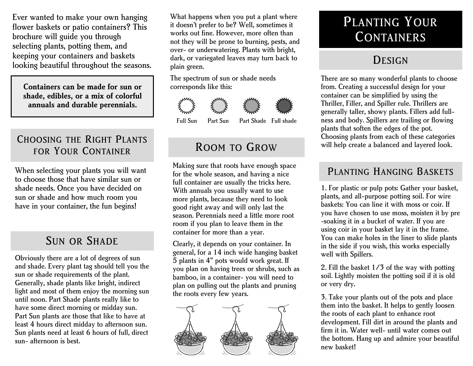Ever wanted to make your own hanging flower baskets or patio containers? This brochure will guide you through selecting plants, potting them, and keeping your containers and baskets looking beautiful throughout the seasons.

**Containers can be made for sun or shade, edibles, or a mix of colorful annuals and durable perennials.**

#### CHOOSING THE RIGHT PLANTS FOR YOUR CONTAINER

When selecting your plants you will want to choose those that have similar sun or shade needs. Once you have decided on sun or shade and how much room you have in your container, the fun begins!

#### SUN OR SHADE

Obviously there are a lot of degrees of sun and shade. Every plant tag should tell you the sun or shade requirements of the plant. Generally, shade plants like bright, indirect light and most of them enjoy the morning sun until noon. Part Shade plants really like to have some direct morning or midday sun. Part Sun plants are those that like to have at least 4 hours direct midday to afternoon sun. Sun plants need at least 6 hours of full, direct sun- afternoon is best.

What happens when you put a plant where it doesn't prefer to be? Well, sometimes it works out fine. However, more often than not they will be prone to burning, pests, and over- or underwatering. Plants with bright, dark, or variegated leaves may turn back to plain green.

The spectrum of sun or shade needs corresponds like this:





Full Sun Part Sun Part Shade Full shade

### ROOM TO GROW

Making sure that roots have enough space for the whole season, and having a nice full container are usually the tricks here. With annuals you usually want to use more plants, because they need to look good right away and will only last the season. Perennials need a little more root room if you plan to leave them in the container for more than a year.

Clearly, it depends on your container. In general, for a 14 inch wide hanging basket 5 plants in 4" pots would work great. If you plan on having trees or shrubs, such as bamboo, in a container- you will need to plan on pulling out the plants and pruning the roots every few years.



# PLANTING YOUR **CONTAINERS**

## **DESIGN**

There are so many wonderful plants to choose from. Creating a successful design for your container can be simplified by using the Thriller, Filler, and Spiller rule. Thrillers are generally taller, showy plants. Fillers add fullness and body. Spillers are trailing or flowing plants that soften the edges of the pot. Choosing plants from each of these categories will help create a balanced and layered look.

#### PLANTING HANGING BASKETS

1. For plastic or pulp pots: Gather your basket, plants, and all-purpose potting soil. For wire baskets: You can line it with moss or coir. If you have chosen to use moss, moisten it by pre -soaking it in a bucket of water. If you are using coir in your basket lay it in the frame. You can make holes in the liner to slide plants in the side if you wish, this works especially well with Spillers.

2. Fill the basket 1/3 of the way with potting soil. Lightly moisten the potting soil if it is old or very dry.

3. Take your plants out of the pots and place them into the basket. It helps to gently loosen the roots of each plant to enhance root development. Fill dirt in around the plants and firm it in. Water well- until water comes out the bottom. Hang up and admire your beautiful new basket!